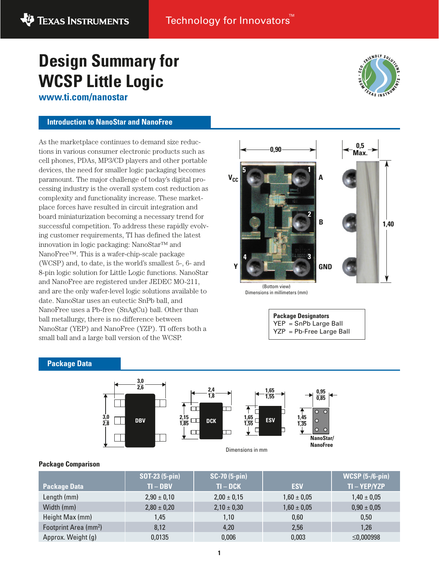# **Design Summary for WCSP Little Logic**

**www.ti.com/nanostar**

#### **Introduction to NanoStar and NanoFree**

As the marketplace continues to demand size reductions in various consumer electronic products such as cell phones, PDAs, MP3/CD players and other portable devices, the need for smaller logic packaging becomes paramount. The major challenge of today's digital processing industry is the overall system cost reduction as complexity and functionality increase. These marketplace forces have resulted in circuit integration and board miniaturization becoming a necessary trend for successful competition. To address these rapidly evolving customer requirements, TI has defined the latest innovation in logic packaging: NanoStar™ and NanoFree™. This is a wafer-chip-scale package (WCSP) and, to date, is the world's smallest 5-, 6- and 8-pin logic solution for Little Logic functions. NanoStar and NanoFree are registered under JEDEC MO-211, and are the only wafer-level logic solutions available to date. NanoStar uses an eutectic SnPb ball, and NanoFree uses a Pb-free (SnAgCu) ball. Other than ball metallurgy, there is no difference between NanoStar (YEP) and NanoFree (YZP). TI offers both a small ball and a large ball version of the WCSP.



**RIENDLY SOLD** 

FXAS INSTR

| <b>Package Designators</b>                        |  |  |  |  |
|---------------------------------------------------|--|--|--|--|
| YEP = SnPb Large Ball<br>YZP = Pb-Free Large Ball |  |  |  |  |
|                                                   |  |  |  |  |

#### **Package Data**



Dimensions in mm

#### **Package Comparison**

|                                   | <b>SOT-23 (5-pin)</b> | $SC-70 (5-pin)$ |                 | <b>WCSP</b> (5-/6-pin) |
|-----------------------------------|-----------------------|-----------------|-----------------|------------------------|
| <b>Package Data</b>               | $TI - DBV$            | $TI-DCK$        | <b>ESV</b>      | TI-YEP/YZP             |
| Length (mm)                       | $2,90 \pm 0,10$       | $2,00 \pm 0,15$ | $1,60 \pm 0,05$ | $1,40 \pm 0,05$        |
| Width (mm)                        | $2,80 \pm 0,20$       | $2,10 \pm 0,30$ | $1,60 \pm 0,05$ | $0,90 \pm 0,05$        |
| Height Max (mm)                   | 1,45                  | 1,10            | 0,60            | 0,50                   |
| Footprint Area (mm <sup>2</sup> ) | 8,12                  | 4,20            | 2,56            | 1,26                   |
| Approx. Weight (g)                | 0,0135                | 0,006           | 0,003           | ≤0,000998              |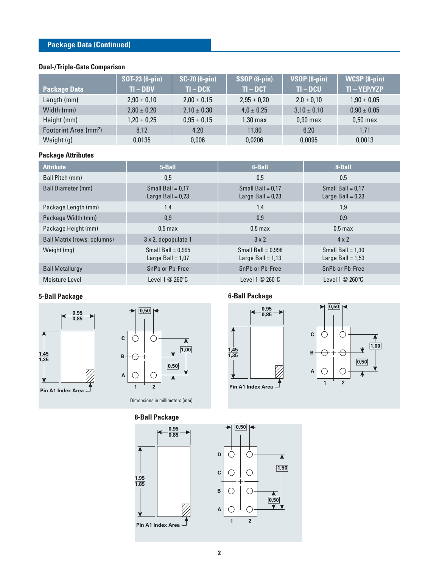## **Package Data (Continued)**

#### **Dual-/Triple-Gate Comparison**

|                                   | <b>SOT-23 (6-pin)</b> | $SC-70(6-pin)$  | SSOP (8-pin)    | VSOP (8-pin)    | $WCSP$ $(B-pin)$ |
|-----------------------------------|-----------------------|-----------------|-----------------|-----------------|------------------|
| <b>Package Data</b>               | $TI - DBV$            | $TI-DCK$        | $TI- DCT$       | $TI - DCU$      | TI-YEP/YZP       |
| Length (mm)                       | $2,90 \pm 0,10$       | $2,00 \pm 0,15$ | $2,95 \pm 0,20$ | $2,0 \pm 0,10$  | $1,90 \pm 0,05$  |
| Width (mm)                        | $2,80 \pm 0,20$       | $2,10 \pm 0,30$ | $4.0 \pm 0.25$  | $3,10 \pm 0,10$ | $0,90 \pm 0,05$  |
| Height (mm)                       | $1,20 \pm 0,25$       | $0,95 \pm 0,15$ | 1,30 max        | $0,90$ max      | $0,50$ max       |
| Footprint Area (mm <sup>2</sup> ) | 8,12                  | 4,20            | 11,80           | 6,20            | 1,71             |
| Weight (g)                        | 0.0135                | 0,006           | 0,0206          | 0,0095          | 0.0013           |

## **Package Attributes**

| <b>Attribute</b>                   | 5-Ball                                      | 6-Ball                                      | 8-Ball                                     |
|------------------------------------|---------------------------------------------|---------------------------------------------|--------------------------------------------|
| Ball Pitch (mm)                    | 0,5                                         | 0,5                                         | 0,5                                        |
| <b>Ball Diameter (mm)</b>          | Small Ball = $0.17$<br>Large Ball $= 0.23$  | Small Ball = $0.17$<br>Large Ball = $0.23$  | Small Ball = $0.17$<br>Large Ball $= 0.23$ |
| Package Length (mm)                | 1,4                                         | 1,4                                         | 1,9                                        |
| Package Width (mm)                 | 0,9                                         | 0,9                                         | 0,9                                        |
| Package Height (mm)                | 0.5 <sub>max</sub>                          | $0.5$ max                                   | 0.5 <sub>max</sub>                         |
| <b>Ball Matrix (rows, columns)</b> | 3 x 2, depopulate 1                         | $3 \times 2$                                | $4 \times 2$                               |
| Weight (mg)                        | Small Ball = $0.995$<br>Large Ball = $1,07$ | Small Ball = $0.998$<br>Large Ball = $1,13$ | Small Ball = $1,30$<br>Large Ball = $1,53$ |
| <b>Ball Metallurgy</b>             | SnPb or Pb-Free                             | SnPb or Pb-Free                             | SnPb or Pb-Free                            |
| Moisture Level                     | Level $1@260^{\circ}$ C                     | Level $1@260°C$                             | Level 1 $@$ 260 $°C$                       |

## **5-Ball Package**





Dimensions in millimeters (mm)







## **6-Ball Package**







**A**

 $\bigcirc$ 

**1 2**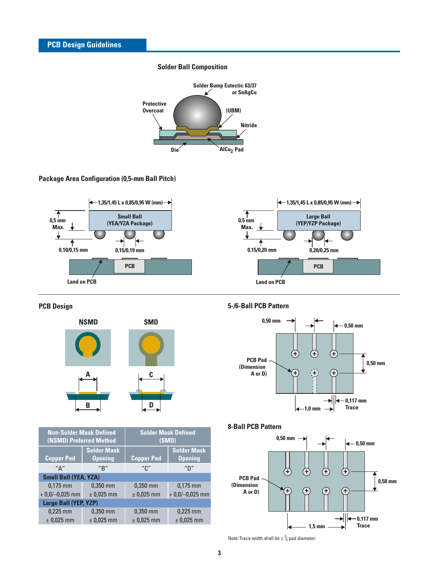#### **Solder Ball Composition**



#### **Package Area Configuration (0,5-mm Ball Pitch)**



#### **PCB Design**



| <b>Non-Solder Mask Defined</b><br>(NSMD) Preferred Method |                    | <b>Solder Mask Defined</b><br>(SMD) |                    |  |  |
|-----------------------------------------------------------|--------------------|-------------------------------------|--------------------|--|--|
|                                                           | <b>Solder Mask</b> |                                     | <b>Solder Mask</b> |  |  |
| <b>Copper Pad</b>                                         | <b>Opening</b>     | <b>Copper Pad</b>                   | <b>Opening</b>     |  |  |
| $^{\prime\prime}$ $\Delta$ $^{\prime\prime}$              | "R"                | "ር"                                 | "D"                |  |  |
| <b>Small Ball (YEA, YZA)</b>                              |                    |                                     |                    |  |  |
| $0,175$ mm                                                | $0,350$ mm         | $0,350$ mm                          | $0,175$ mm         |  |  |
| $+0.0/-0.025$ mm                                          | $±$ 0,025 mm       | $±$ 0,025 mm                        | $+0,0/-0,025$ mm   |  |  |
| Large Ball (YEP, YZP)                                     |                    |                                     |                    |  |  |
| $0.225$ mm                                                | $0,350$ mm         | $0,350$ mm                          | $0.225$ mm         |  |  |
| $±$ 0,025 mm                                              | $±$ 0,025 mm       | $±$ 0,025 mm                        | $±$ 0,025 mm       |  |  |

#### **5-/6-Ball PCB Pattern**



## **8-Ball PCB Pattern**



Note: Trace width shall be  $\leq \frac{2}{3}$  pad diameter. ⁄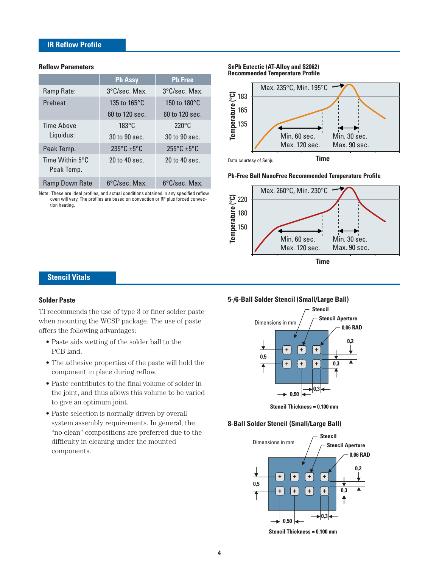## **IR Reflow Profile**

#### **Reflow Parameters**

|                       | <b>Pb Assy</b>       | <b>Pb Free</b>       |
|-----------------------|----------------------|----------------------|
| Ramp Rate:            | 3°C/sec. Max.        | 3°C/sec. Max.        |
| Preheat               | 135 to 165°C         | 150 to 180°C         |
|                       | 60 to 120 sec.       | 60 to 120 sec.       |
| Time Above            | $183^{\circ}$ C      | $220^{\circ}$ C      |
| Liquidus:             | 30 to 90 sec.        | 30 to 90 sec.        |
| Peak Temp.            | $235^{\circ}$ C +5°C | $255^{\circ}$ C +5°C |
| Time Within 5°C       | $20$ to $40$ sec.    | 20 to 40 sec.        |
| Peak Temp.            |                      |                      |
| <b>Ramp Down Rate</b> | 6°C/sec. Max.        | 6°C/sec. Max.        |

Note: These are ideal profiles, and actual conditions obtained in any specified reflow oven will vary. The profiles are based on convection or RF plus forced convection heating.

#### **SnPb Eutectic (AT-Alloy and S2062) Recommended Temperature Profile**



**Pb-Free Ball NanoFree Recommended Temperature Profile**



## **Stencil Vitals**

#### **Solder Paste**

TI recommends the use of type 3 or finer solder paste when mounting the WCSP package. The use of paste offers the following advantages:

- Paste aids wetting of the solder ball to the PCB land.
- The adhesive properties of the paste will hold the component in place during reflow.
- Paste contributes to the final volume of solder in the joint, and thus allows this volume to be varied to give an optimum joint.
- Paste selection is normally driven by overall system assembly requirements. In general, the "no clean" compositions are preferred due to the difficulty in cleaning under the mounted components.

#### **5-/6-Ball Solder Stencil (Small/Large Ball)**



**Stencil Thickness = 0,100 mm**

#### **8-Ball Solder Stencil (Small/Large Ball)**

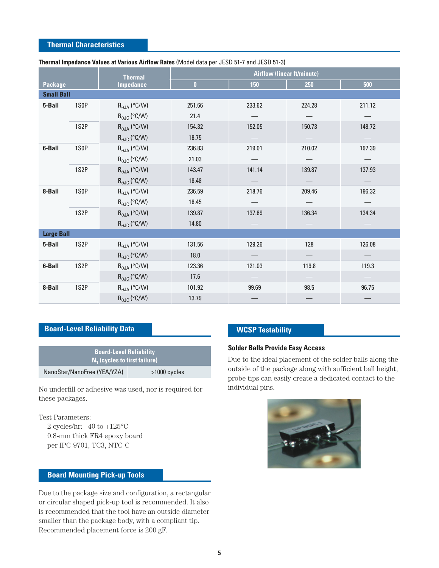#### **Thermal Characteristics**

|                   |                   | <b>Thermal</b>               | <b>Airflow (linear ft/minute)</b> |        |                          |                                 |
|-------------------|-------------------|------------------------------|-----------------------------------|--------|--------------------------|---------------------------------|
| <b>Package</b>    |                   | <b>Impedance</b>             | $\bf{0}$                          | 150    | 250                      | 500                             |
| <b>Small Ball</b> |                   |                              |                                   |        |                          |                                 |
| 5-Ball            | 1S <sub>0</sub> P | $R_{\theta JA}$ (°C/W)       | 251.66                            | 233.62 | 224.28                   | 211.12                          |
|                   |                   | $R_{\theta\text{JC}}$ (°C/W) | 21.4                              |        |                          |                                 |
|                   | 1S <sub>2</sub> P | $R_{\theta JA}$ (°C/W)       | 154.32                            | 152.05 | 150.73                   | 148.72                          |
|                   |                   | $R_{\theta\text{JC}}$ (°C/W) | 18.75                             |        |                          |                                 |
| 6-Ball            | 1S <sub>0</sub> P | $R_{\theta JA}$ (°C/W)       | 236.83                            | 219.01 | 210.02                   | 197.39                          |
|                   |                   | $R_{\theta\text{JC}}$ (°C/W) | 21.03                             |        |                          |                                 |
|                   | 1S <sub>2</sub> P | $R_{\theta JA}$ (°C/W)       | 143.47                            | 141.14 | 139.87                   | 137.93                          |
|                   |                   | $R_{\theta\text{JC}}$ (°C/W) | 18.48                             |        | $\hspace{0.05cm}$        | $\hspace{0.1mm}-\hspace{0.1mm}$ |
| 8-Ball            | 1S <sub>0</sub> P | $R_{\theta JA}$ (°C/W)       | 236.59                            | 218.76 | 209.46                   | 196.32                          |
|                   |                   | $R_{\theta\text{JC}}$ (°C/W) | 16.45                             |        |                          |                                 |
|                   | 1S <sub>2</sub> P | $R_{\theta$ JA (°C/W)        | 139.87                            | 137.69 | 136.34                   | 134.34                          |
|                   |                   | $R_{\theta JC}$ (°C/W)       | 14.80                             |        |                          |                                 |
| <b>Large Ball</b> |                   |                              |                                   |        |                          |                                 |
| 5-Ball            | 1S <sub>2</sub> P | $R_{\theta JA}$ (°C/W)       | 131.56                            | 129.26 | 128                      | 126.08                          |
|                   |                   | $R_{\theta\text{JC}}$ (°C/W) | 18.0                              |        |                          |                                 |
| 6-Ball            | 1S <sub>2</sub> P | $R_{\theta JA}$ (°C/W)       | 123.36                            | 121.03 | 119.8                    | 119.3                           |
|                   |                   | $R_{\theta\text{JC}}$ (°C/W) | 17.6                              |        | $\overline{\phantom{m}}$ | $\hspace{0.1mm}-\hspace{0.1mm}$ |
| 8-Ball            | 1S2P              | $R_{\theta JA}$ (°C/W)       | 101.92                            | 99.69  | 98.5                     | 96.75                           |
|                   |                   | $R_{\theta JC}$ (°C/W)       | 13.79                             |        |                          |                                 |

#### **Thermal Impedance Values at Various Airflow Rates** (Model data per JESD 51-7 and JESD 51-3)

## **Board-Level Reliability Data**

| <b>Board-Level Reliability</b><br>$N_1$ (cycles to first failure) |              |  |  |
|-------------------------------------------------------------------|--------------|--|--|
| NanoStar/NanoFree (YEA/YZA)                                       | >1000 cycles |  |  |

No underfill or adhesive was used, nor is required for individual pins. these packages.

Test Parameters:

2 cycles/hr:  $-40$  to  $+125$ °C 0.8-mm thick FR4 epoxy board per IPC-9701, TC3, NTC-C

## **Board Mounting Pick-up Tools**

Due to the package size and configuration, a rectangular or circular shaped pick-up tool is recommended. It also is recommended that the tool have an outside diameter smaller than the package body, with a compliant tip. Recommended placement force is 200 gF.

## **WCSP Testability**

#### **Solder Balls Provide Easy Access**

Due to the ideal placement of the solder balls along the outside of the package along with sufficient ball height, probe tips can easily create a dedicated contact to the

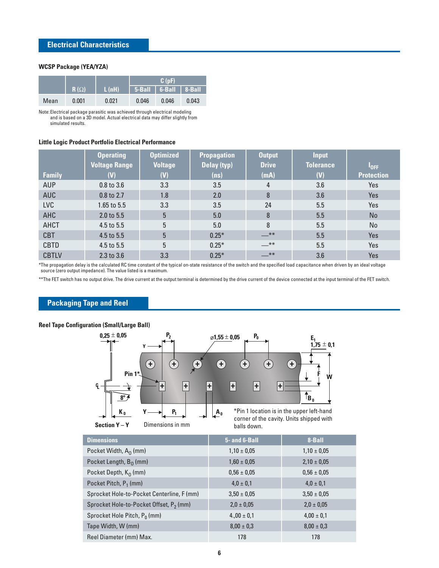#### **WCSP Package (YEA/YZA)**

|      |             |                           | C(pF)                                        |       |       |
|------|-------------|---------------------------|----------------------------------------------|-------|-------|
|      | $R(\Omega)$ | $\mathsf{L}(\mathsf{nH})$ | $\vert$ 5-Ball $\vert$ 6-Ball $\vert$ 8-Ball |       |       |
| Mean | 0.001       | 0.021                     | 0.046                                        | 0.046 | 0.043 |

Note: Electrical package parasitic was achieved through electrical modeling and is based on a 3D model. Actual electrical data may differ slightly from simulated results.

#### **Little Logic Product Portfolio Electrical Performance**

|               | <b>Operating</b>      | <b>Optimized</b> | <b>Propagation</b> | <b>Output</b> | <b>Input</b>     |                   |
|---------------|-----------------------|------------------|--------------------|---------------|------------------|-------------------|
|               | <b>Voltage Range</b>  | <b>Voltage</b>   | Delay (typ)        | <b>Drive</b>  | <b>Tolerance</b> | $I_{\rm OFF}$     |
| <b>Family</b> | (V)                   | (V)              | (ns)               | (mA)          | (V)              | <b>Protection</b> |
| <b>AUP</b>    | 0.8 to 3.6            | 3.3              | 3.5                | 4             | 3.6              | Yes               |
| <b>AUC</b>    | 0.8 to 2.7            | 1.8              | 2.0                | 8             | 3.6              | Yes               |
| <b>LVC</b>    | 1.65 to 5.5           | 3.3              | 3.5                | 24            | 5.5              | Yes               |
| <b>AHC</b>    | $2.0 \text{ to } 5.5$ | 5                | 5.0                | 8             | 5.5              | <b>No</b>         |
| AHCT          | 4.5 to 5.5            | 5                | 5.0                | 8             | 5.5              | No                |
| <b>CBT</b>    | 4.5 to 5.5            | 5                | $0.25*$            | $-$ **        | 5.5              | Yes               |
| <b>CBTD</b>   | 4.5 to 5.5            | 5                | $0.25*$            | $-$ **        | 5.5              | Yes               |
| <b>CBTLV</b>  | 2.3 to 3.6            | 3.3              | $0.25*$            | $-$ **        | 3.6              | Yes               |

\*The propagation delay is the calculated RC time constant of the typical on-state resistance of the switch and the specified load capacitance when driven by an ideal voltage source (zero output impedance). The value listed is a maximum.

\*\*The FET switch has no output drive. The drive current at the output terminal is determined by the drive current of the device connected at the input terminal of the FET switch.

#### **Packaging Tape and Reel**

#### **Reel Tape Configuration (Small/Large Ball) 0,25** ± **0,05 P**<sub>2</sub>  $\oslash$  **E**<sub>1</sub>  $\oslash$  **E**<sub>1</sub>  $\oslash$  **E**<sub>1</sub>  $\frac{1}{1.75} \pm 0.1$ **Y + + + + + + + Pin 1\* F W ++++++ CL** ⇟  $\uparrow$ <sub>B<sub>0</sub></sub> **8º** \*Pin 1 location is in the upper left-hand  $P_1$   $\qquad$   $\qquad$   $A_0$ **K <sup>0</sup> Y** corner of the cavity. Units shipped with **Section Y – Y** Dimensions in mm balls down.

| <b>Dimensions</b>                                   | 5- and 6-Ball   | 8-Ball          |
|-----------------------------------------------------|-----------------|-----------------|
| Pocket Width, $A_0$ (mm)                            | $1,10 \pm 0.05$ | $1,10 \pm 0,05$ |
| Pocket Length, $B_0$ (mm)                           | $1,60 \pm 0,05$ | $2,10 \pm 0,05$ |
| Pocket Depth, $K_0$ (mm)                            | $0.56 \pm 0.05$ | $0.56 \pm 0.05$ |
| Pocket Pitch, P <sub>1</sub> (mm)                   | $4.0 \pm 0.1$   | $4.0 \pm 0.1$   |
| Sprocket Hole-to-Pocket Centerline, F (mm)          | $3,50 \pm 0.05$ | $3,50 \pm 0,05$ |
| Sprocket Hole-to-Pocket Offset, P <sub>2</sub> (mm) | $2,0 \pm 0,05$  | $2,0 \pm 0,05$  |
| Sprocket Hole Pitch, P <sub>0</sub> (mm)            | $4.00 \pm 0.1$  | $4,00 \pm 0,1$  |
| Tape Width, W (mm)                                  | $8.00 \pm 0.3$  | $8,00 \pm 0,3$  |
| Reel Diameter (mm) Max.                             | 178             | 178             |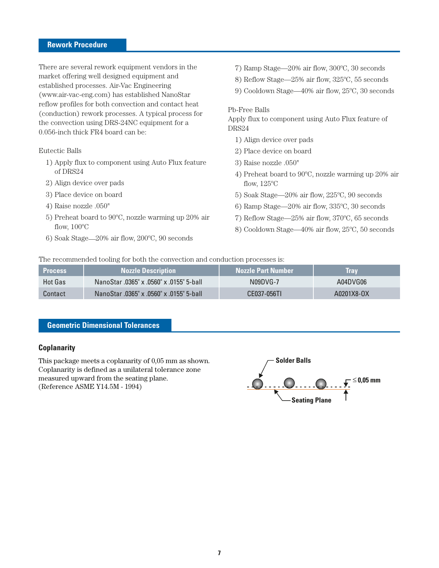#### **Rework Procedure**

There are several rework equipment vendors in the market offering well designed equipment and established processes. Air-Vac Engineering (www.air-vac-eng.com) has established NanoStar reflow profiles for both convection and contact heat (conduction) rework processes. A typical process for the convection using DRS-24NC equipment for a 0.056-inch thick FR4 board can be:

#### Eutectic Balls

- 1) Apply flux to component using Auto Flux feature of DRS24
- 2) Align device over pads
- 3) Place device on board
- 4) Raise nozzle .050"
- 5) Preheat board to 90ºC, nozzle warming up 20% air flow,  $100^{\circ}$ C
- 6) Soak Stage—20% air flow, 200ºC, 90 seconds
- 7) Ramp Stage—20% air flow, 300ºC, 30 seconds
- 8) Reflow Stage—25% air flow, 325ºC, 55 seconds
- 9) Cooldown Stage—40% air flow, 25ºC, 30 seconds

#### Pb-Free Balls

Apply flux to component using Auto Flux feature of DRS24

- 1) Align device over pads
- 2) Place device on board
- 3) Raise nozzle .050"
- 4) Preheat board to 90ºC, nozzle warming up 20% air flow,  $125^{\circ}$ C
- 5) Soak Stage—20% air flow, 225ºC, 90 seconds
- 6) Ramp Stage—20% air flow, 335ºC, 30 seconds
- 7) Reflow Stage—25% air flow, 370ºC, 65 seconds
- 8) Cooldown Stage—40% air flow, 25ºC, 50 seconds

The recommended tooling for both the convection and conduction processes is:

| Process        | <b>Nozzle Description</b>                | <b>Nozzle Part Number</b> | Trav       |
|----------------|------------------------------------------|---------------------------|------------|
| <b>Hot Gas</b> | NanoStar .0365" x .0560" x .0155" 5-ball | N09DVG-7                  | A04DVG06   |
| Contact        | NanoStar .0365" x .0560" x .0155" 5-ball | CE037-056TL               | A0201X8-0X |

## **Geometric Dimensional Tolerances**

## **Coplanarity**

This package meets a coplanarity of 0,05 mm as shown. Coplanarity is defined as a unilateral tolerance zone measured upward from the seating plane. (Reference ASME Y14.5M - 1994)